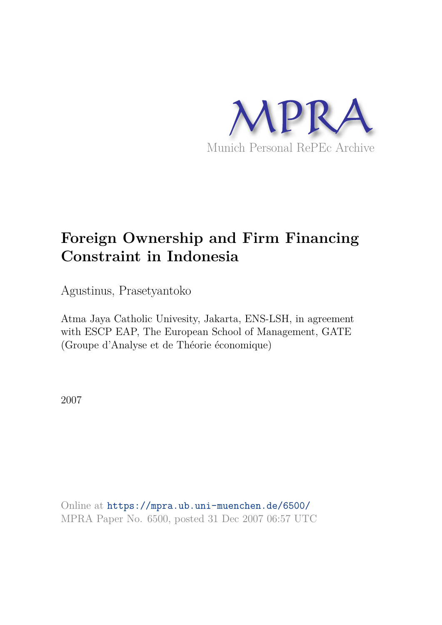

# **Foreign Ownership and Firm Financing Constraint in Indonesia**

Agustinus, Prasetyantoko

Atma Jaya Catholic Univesity, Jakarta, ENS-LSH, in agreement with ESCP EAP, The European School of Management, GATE (Groupe d'Analyse et de Théorie économique)

2007

Online at https://mpra.ub.uni-muenchen.de/6500/ MPRA Paper No. 6500, posted 31 Dec 2007 06:57 UTC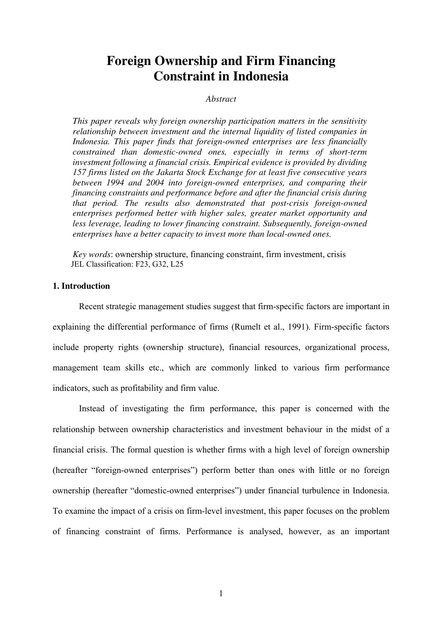# **Foreign Ownership and Firm Financing Constraint in Indonesia**

#### *Abstract*

*This paper reveals why foreign ownership participation matters in the sensitivity relationship between investment and the internal liquidity of listed companies in Indonesia. This paper finds that foreign-owned enterprises are less financially constrained than domestic-owned ones, especially in terms of short-term investment following a financial crisis. Empirical evidence is provided by dividing 157 firms listed on the Jakarta Stock Exchange for at least five consecutive years between 1994 and 2004 into foreign-owned enterprises, and comparing their financing constraints and performance before and after the financial crisis during that period. The results also demonstrated that post-crisis foreign-owned enterprises performed better with higher sales, greater market opportunity and less leverage, leading to lower financing constraint. Subsequently, foreign-owned enterprises have a better capacity to invest more than local-owned ones.* 

*Key words*: ownership structure, financing constraint, firm investment, crisis JEL Classification: F23, G32, L25

#### **1. Introduction**

Recent strategic management studies suggest that firm-specific factors are important in explaining the differential performance of firms (Rumelt et al., 1991). Firm-specific factors include property rights (ownership structure), financial resources, organizational process, management team skills etc., which are commonly linked to various firm performance indicators, such as profitability and firm value.

Instead of investigating the firm performance, this paper is concerned with the relationship between ownership characteristics and investment behaviour in the midst of a financial crisis. The formal question is whether firms with a high level of foreign ownership (hereafter "foreign-owned enterprises") perform better than ones with little or no foreign ownership (hereafter "domestic-owned enterprises") under financial turbulence in Indonesia. To examine the impact of a crisis on firm-level investment, this paper focuses on the problem of financing constraint of firms. Performance is analysed, however, as an important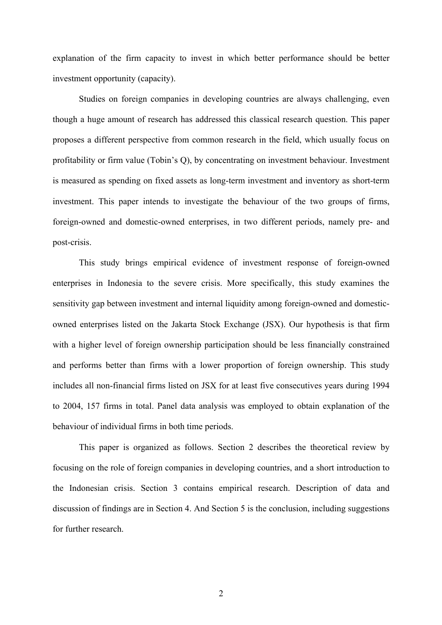explanation of the firm capacity to invest in which better performance should be better investment opportunity (capacity).

Studies on foreign companies in developing countries are always challenging, even though a huge amount of research has addressed this classical research question. This paper proposes a different perspective from common research in the field, which usually focus on profitability or firm value (Tobin's Q), by concentrating on investment behaviour. Investment is measured as spending on fixed assets as long-term investment and inventory as short-term investment. This paper intends to investigate the behaviour of the two groups of firms, foreign-owned and domestic-owned enterprises, in two different periods, namely pre- and post-crisis.

This study brings empirical evidence of investment response of foreign-owned enterprises in Indonesia to the severe crisis. More specifically, this study examines the sensitivity gap between investment and internal liquidity among foreign-owned and domesticowned enterprises listed on the Jakarta Stock Exchange (JSX). Our hypothesis is that firm with a higher level of foreign ownership participation should be less financially constrained and performs better than firms with a lower proportion of foreign ownership. This study includes all non-financial firms listed on JSX for at least five consecutives years during 1994 to 2004, 157 firms in total. Panel data analysis was employed to obtain explanation of the behaviour of individual firms in both time periods.

This paper is organized as follows. Section 2 describes the theoretical review by focusing on the role of foreign companies in developing countries, and a short introduction to the Indonesian crisis. Section 3 contains empirical research. Description of data and discussion of findings are in Section 4. And Section 5 is the conclusion, including suggestions for further research.

2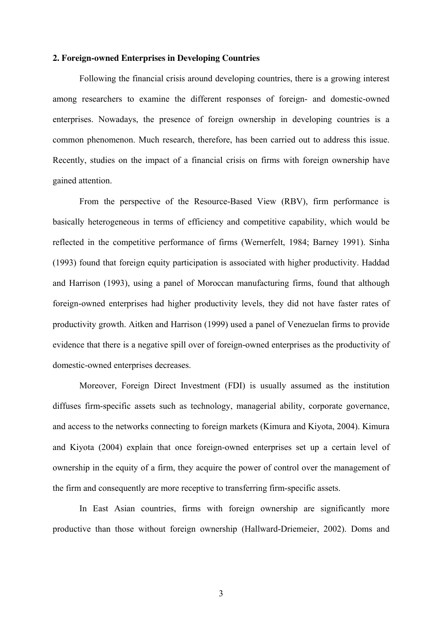#### **2. Foreign-owned Enterprises in Developing Countries**

Following the financial crisis around developing countries, there is a growing interest among researchers to examine the different responses of foreign- and domestic-owned enterprises. Nowadays, the presence of foreign ownership in developing countries is a common phenomenon. Much research, therefore, has been carried out to address this issue. Recently, studies on the impact of a financial crisis on firms with foreign ownership have gained attention.

From the perspective of the Resource-Based View (RBV), firm performance is basically heterogeneous in terms of efficiency and competitive capability, which would be reflected in the competitive performance of firms (Wernerfelt, 1984; Barney 1991). Sinha (1993) found that foreign equity participation is associated with higher productivity. Haddad and Harrison (1993), using a panel of Moroccan manufacturing firms, found that although foreign-owned enterprises had higher productivity levels, they did not have faster rates of productivity growth. Aitken and Harrison (1999) used a panel of Venezuelan firms to provide evidence that there is a negative spill over of foreign-owned enterprises as the productivity of domestic-owned enterprises decreases.

Moreover, Foreign Direct Investment (FDI) is usually assumed as the institution diffuses firm-specific assets such as technology, managerial ability, corporate governance, and access to the networks connecting to foreign markets (Kimura and Kiyota, 2004). Kimura and Kiyota (2004) explain that once foreign-owned enterprises set up a certain level of ownership in the equity of a firm, they acquire the power of control over the management of the firm and consequently are more receptive to transferring firm-specific assets.

In East Asian countries, firms with foreign ownership are significantly more productive than those without foreign ownership (Hallward-Driemeier, 2002). Doms and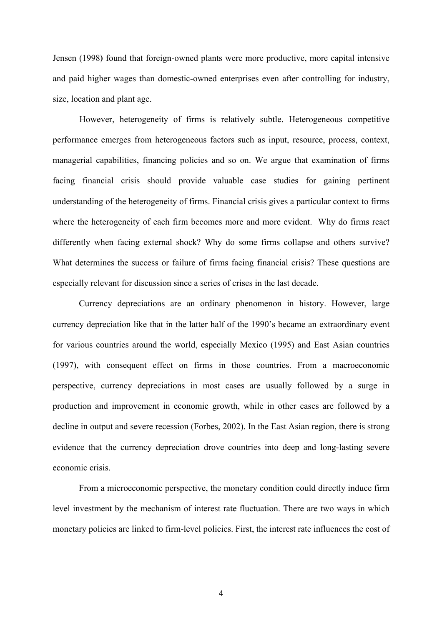Jensen (1998**)** found that foreign-owned plants were more productive, more capital intensive and paid higher wages than domestic-owned enterprises even after controlling for industry, size, location and plant age.

However, heterogeneity of firms is relatively subtle. Heterogeneous competitive performance emerges from heterogeneous factors such as input, resource, process, context, managerial capabilities, financing policies and so on. We argue that examination of firms facing financial crisis should provide valuable case studies for gaining pertinent understanding of the heterogeneity of firms. Financial crisis gives a particular context to firms where the heterogeneity of each firm becomes more and more evident. Why do firms react differently when facing external shock? Why do some firms collapse and others survive? What determines the success or failure of firms facing financial crisis? These questions are especially relevant for discussion since a series of crises in the last decade.

Currency depreciations are an ordinary phenomenon in history. However, large currency depreciation like that in the latter half of the 1990's became an extraordinary event for various countries around the world, especially Mexico (1995) and East Asian countries (1997), with consequent effect on firms in those countries. From a macroeconomic perspective, currency depreciations in most cases are usually followed by a surge in production and improvement in economic growth, while in other cases are followed by a decline in output and severe recession (Forbes, 2002). In the East Asian region, there is strong evidence that the currency depreciation drove countries into deep and long-lasting severe economic crisis.

From a microeconomic perspective, the monetary condition could directly induce firm level investment by the mechanism of interest rate fluctuation. There are two ways in which monetary policies are linked to firm-level policies. First, the interest rate influences the cost of

4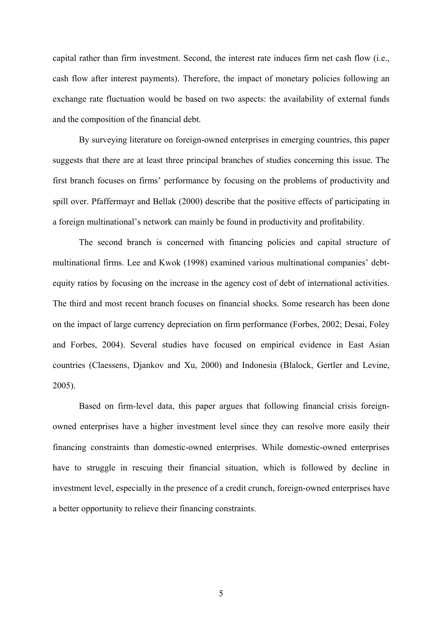capital rather than firm investment. Second, the interest rate induces firm net cash flow (i.e., cash flow after interest payments). Therefore, the impact of monetary policies following an exchange rate fluctuation would be based on two aspects: the availability of external funds and the composition of the financial debt.

By surveying literature on foreign-owned enterprises in emerging countries, this paper suggests that there are at least three principal branches of studies concerning this issue. The first branch focuses on firms' performance by focusing on the problems of productivity and spill over. Pfaffermayr and Bellak (2000) describe that the positive effects of participating in a foreign multinational's network can mainly be found in productivity and profitability.

The second branch is concerned with financing policies and capital structure of multinational firms. Lee and Kwok (1998) examined various multinational companies' debtequity ratios by focusing on the increase in the agency cost of debt of international activities. The third and most recent branch focuses on financial shocks. Some research has been done on the impact of large currency depreciation on firm performance (Forbes, 2002; Desai, Foley and Forbes, 2004). Several studies have focused on empirical evidence in East Asian countries (Claessens, Djankov and Xu, 2000) and Indonesia (Blalock, Gertler and Levine, 2005).

Based on firm-level data, this paper argues that following financial crisis foreignowned enterprises have a higher investment level since they can resolve more easily their financing constraints than domestic-owned enterprises. While domestic-owned enterprises have to struggle in rescuing their financial situation, which is followed by decline in investment level, especially in the presence of a credit crunch, foreign-owned enterprises have a better opportunity to relieve their financing constraints.

5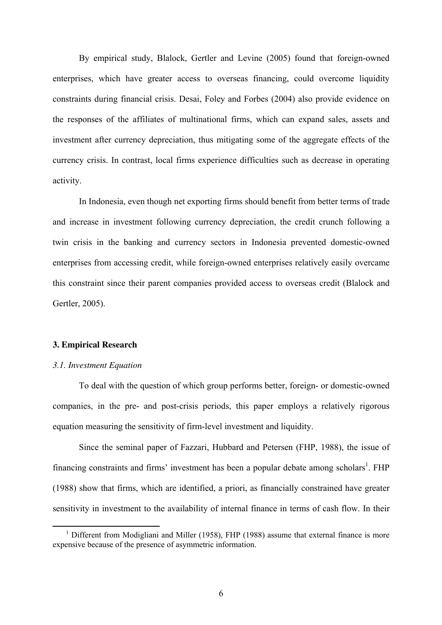By empirical study, Blalock, Gertler and Levine (2005) found that foreign-owned enterprises, which have greater access to overseas financing, could overcome liquidity constraints during financial crisis. Desai, Foley and Forbes (2004) also provide evidence on the responses of the affiliates of multinational firms, which can expand sales, assets and investment after currency depreciation, thus mitigating some of the aggregate effects of the currency crisis. In contrast, local firms experience difficulties such as decrease in operating activity.

In Indonesia, even though net exporting firms should benefit from better terms of trade and increase in investment following currency depreciation, the credit crunch following a twin crisis in the banking and currency sectors in Indonesia prevented domestic-owned enterprises from accessing credit, while foreign-owned enterprises relatively easily overcame this constraint since their parent companies provided access to overseas credit (Blalock and Gertler, 2005).

#### **3. Empirical Research**

#### *3.1. Investment Equation*

 $\overline{a}$ 

To deal with the question of which group performs better, foreign- or domestic-owned companies, in the pre- and post-crisis periods, this paper employs a relatively rigorous equation measuring the sensitivity of firm-level investment and liquidity.

Since the seminal paper of Fazzari, Hubbard and Petersen (FHP, 1988), the issue of financing constraints and firms' investment has been a popular debate among scholars<sup>1</sup>. FHP (1988) show that firms, which are identified, a priori, as financially constrained have greater sensitivity in investment to the availability of internal finance in terms of cash flow. In their

<sup>&</sup>lt;sup>1</sup> Different from Modigliani and Miller (1958), FHP (1988) assume that external finance is more expensive because of the presence of asymmetric information.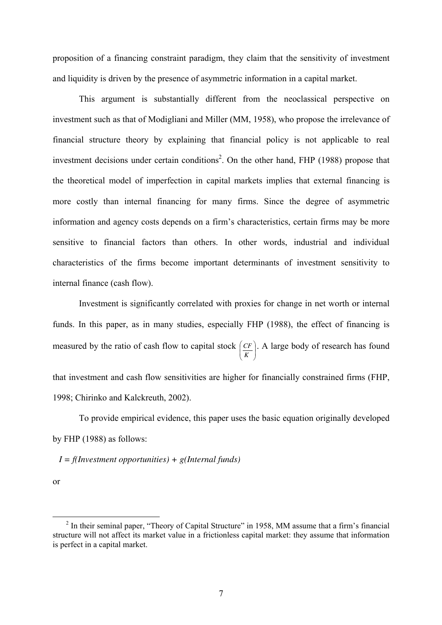proposition of a financing constraint paradigm, they claim that the sensitivity of investment and liquidity is driven by the presence of asymmetric information in a capital market.

This argument is substantially different from the neoclassical perspective on investment such as that of Modigliani and Miller (MM, 1958), who propose the irrelevance of financial structure theory by explaining that financial policy is not applicable to real investment decisions under certain conditions<sup>2</sup>. On the other hand, FHP (1988) propose that the theoretical model of imperfection in capital markets implies that external financing is more costly than internal financing for many firms. Since the degree of asymmetric information and agency costs depends on a firm's characteristics, certain firms may be more sensitive to financial factors than others. In other words, industrial and individual characteristics of the firms become important determinants of investment sensitivity to internal finance (cash flow).

Investment is significantly correlated with proxies for change in net worth or internal funds. In this paper, as in many studies, especially FHP (1988), the effect of financing is measured by the ratio of cash flow to capital stock  $\left(\frac{CF}{K}\right)$ ⎠ ⎞  $\parallel$ ⎝ ⎛ *K CF* . A large body of research has found that investment and cash flow sensitivities are higher for financially constrained firms (FHP, 1998; Chirinko and Kalckreuth, 2002).

To provide empirical evidence, this paper uses the basic equation originally developed by FHP (1988) as follows:

*I = f(Investment opportunities) + g(Internal funds)* 

or

 $\overline{a}$ 

 $2$  In their seminal paper, "Theory of Capital Structure" in 1958, MM assume that a firm's financial structure will not affect its market value in a frictionless capital market: they assume that information is perfect in a capital market.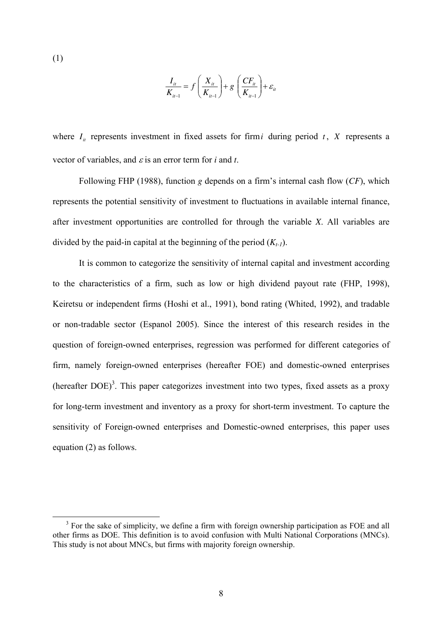(1)

 $\overline{a}$ 

$$
\frac{I_{it}}{K_{it-1}} = f\left(\frac{X_{it}}{K_{it-1}}\right) + g\left(\frac{CF_{it}}{K_{it-1}}\right) + \varepsilon_{it}
$$

where  $I_i$  represents investment in fixed assets for firm *i* during period *t*, *X* represents a vector of variables, and  $\varepsilon$  is an error term for *i* and *t*.

Following FHP (1988), function *g* depends on a firm's internal cash flow (*CF*), which represents the potential sensitivity of investment to fluctuations in available internal finance, after investment opportunities are controlled for through the variable *X*. All variables are divided by the paid-in capital at the beginning of the period  $(K_t)$ .

It is common to categorize the sensitivity of internal capital and investment according to the characteristics of a firm, such as low or high dividend payout rate (FHP, 1998), Keiretsu or independent firms (Hoshi et al., 1991), bond rating (Whited, 1992), and tradable or non-tradable sector (Espanol 2005). Since the interest of this research resides in the question of foreign-owned enterprises, regression was performed for different categories of firm, namely foreign-owned enterprises (hereafter FOE) and domestic-owned enterprises (hereafter  $DOE$ )<sup>3</sup>. This paper categorizes investment into two types, fixed assets as a proxy for long-term investment and inventory as a proxy for short-term investment. To capture the sensitivity of Foreign-owned enterprises and Domestic-owned enterprises, this paper uses equation (2) as follows.

<sup>&</sup>lt;sup>3</sup> For the sake of simplicity, we define a firm with foreign ownership participation as FOE and all other firms as DOE. This definition is to avoid confusion with Multi National Corporations (MNCs). This study is not about MNCs, but firms with majority foreign ownership.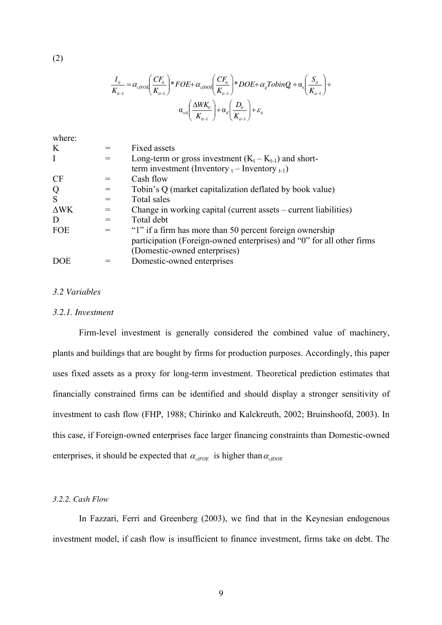$$
\frac{I_{i}}{K_{i-1}} = \alpha_{cfPOE} \left( \frac{CF_{i}}{K_{i-1}} \right) * FOE + \alpha_{cfDOE} \left( \frac{CF_{i}}{K_{i-1}} \right) * DOE + \alpha_{q} TobinQ_{i} + \alpha_{s} \left( \frac{S_{i}}{K_{i-1}} \right) + \alpha_{u} \left( \frac{\Delta W K_{i}}{K_{i-1}} \right) + \alpha_{d} \left( \frac{D_{i}}{K_{i-1}} \right) + \varepsilon_{i}
$$

|     | Fixed assets                                                          |
|-----|-----------------------------------------------------------------------|
|     | Long-term or gross investment $(K_t - K_{t-1})$ and short-            |
|     | term investment (Inventory $_{t}$ – Inventory $_{t-1}$ )              |
|     | Cash flow                                                             |
|     | Tobin's Q (market capitalization deflated by book value)              |
|     | Total sales                                                           |
| $=$ | Change in working capital (current assets – current liabilities)      |
|     | Total debt                                                            |
|     | "1" if a firm has more than 50 percent foreign ownership              |
|     | participation (Foreign-owned enterprises) and "0" for all other firms |
|     | (Domestic-owned enterprises)                                          |
|     | Domestic-owned enterprises                                            |
|     |                                                                       |

#### *3.2 Variables*

#### *3.2.1. Investment*

Firm-level investment is generally considered the combined value of machinery, plants and buildings that are bought by firms for production purposes. Accordingly, this paper uses fixed assets as a proxy for long-term investment. Theoretical prediction estimates that financially constrained firms can be identified and should display a stronger sensitivity of investment to cash flow (FHP, 1988; Chirinko and Kalckreuth, 2002; Bruinshoofd, 2003). In this case, if Foreign-owned enterprises face larger financing constraints than Domestic-owned enterprises, it should be expected that  $\alpha_{cFOE}$  is higher than  $\alpha_{cDOE}$ 

#### *3.2.2. Cash Flow*

In Fazzari, Ferri and Greenberg (2003), we find that in the Keynesian endogenous investment model, if cash flow is insufficient to finance investment, firms take on debt. The

(2)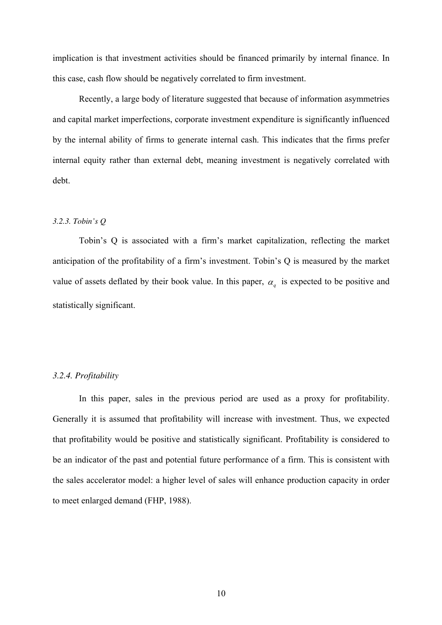implication is that investment activities should be financed primarily by internal finance. In this case, cash flow should be negatively correlated to firm investment.

Recently, a large body of literature suggested that because of information asymmetries and capital market imperfections, corporate investment expenditure is significantly influenced by the internal ability of firms to generate internal cash. This indicates that the firms prefer internal equity rather than external debt, meaning investment is negatively correlated with debt.

#### *3.2.3. Tobin's Q*

Tobin's Q is associated with a firm's market capitalization, reflecting the market anticipation of the profitability of a firm's investment. Tobin's Q is measured by the market value of assets deflated by their book value. In this paper,  $\alpha_q$  is expected to be positive and statistically significant.

#### *3.2.4. Profitability*

In this paper, sales in the previous period are used as a proxy for profitability. Generally it is assumed that profitability will increase with investment. Thus, we expected that profitability would be positive and statistically significant. Profitability is considered to be an indicator of the past and potential future performance of a firm. This is consistent with the sales accelerator model: a higher level of sales will enhance production capacity in order to meet enlarged demand (FHP, 1988).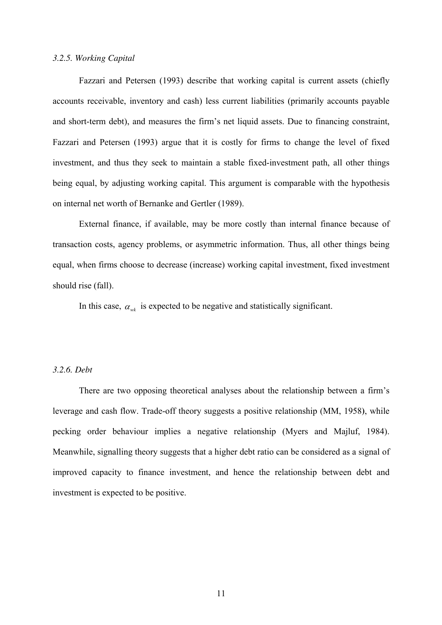#### *3.2.5. Working Capital*

Fazzari and Petersen (1993) describe that working capital is current assets (chiefly accounts receivable, inventory and cash) less current liabilities (primarily accounts payable and short-term debt), and measures the firm's net liquid assets. Due to financing constraint, Fazzari and Petersen (1993) argue that it is costly for firms to change the level of fixed investment, and thus they seek to maintain a stable fixed-investment path, all other things being equal, by adjusting working capital. This argument is comparable with the hypothesis on internal net worth of Bernanke and Gertler (1989).

External finance, if available, may be more costly than internal finance because of transaction costs, agency problems, or asymmetric information. Thus, all other things being equal, when firms choose to decrease (increase) working capital investment, fixed investment should rise (fall).

In this case,  $\alpha_{wk}$  is expected to be negative and statistically significant.

#### *3.2.6. Debt*

There are two opposing theoretical analyses about the relationship between a firm's leverage and cash flow. Trade-off theory suggests a positive relationship (MM, 1958**)**, while pecking order behaviour implies a negative relationship (Myers and Majluf, 1984). Meanwhile, signalling theory suggests that a higher debt ratio can be considered as a signal of improved capacity to finance investment, and hence the relationship between debt and investment is expected to be positive.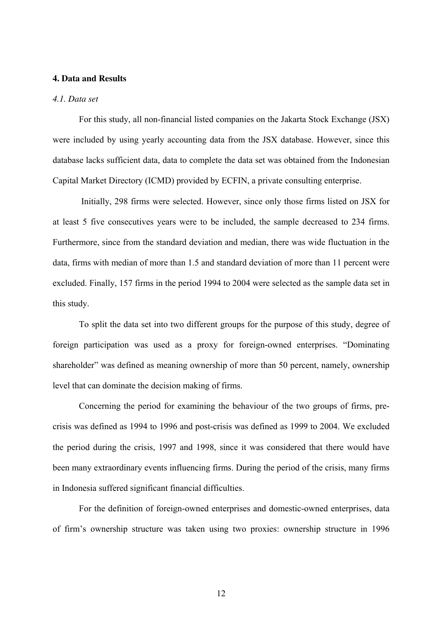#### **4. Data and Results**

#### *4.1. Data set*

For this study, all non-financial listed companies on the Jakarta Stock Exchange (JSX) were included by using yearly accounting data from the JSX database. However, since this database lacks sufficient data, data to complete the data set was obtained from the Indonesian Capital Market Directory (ICMD) provided by ECFIN, a private consulting enterprise.

 Initially, 298 firms were selected. However, since only those firms listed on JSX for at least 5 five consecutives years were to be included, the sample decreased to 234 firms. Furthermore, since from the standard deviation and median, there was wide fluctuation in the data, firms with median of more than 1.5 and standard deviation of more than 11 percent were excluded. Finally, 157 firms in the period 1994 to 2004 were selected as the sample data set in this study.

To split the data set into two different groups for the purpose of this study, degree of foreign participation was used as a proxy for foreign-owned enterprises. "Dominating shareholder" was defined as meaning ownership of more than 50 percent, namely, ownership level that can dominate the decision making of firms.

 Concerning the period for examining the behaviour of the two groups of firms, precrisis was defined as 1994 to 1996 and post-crisis was defined as 1999 to 2004. We excluded the period during the crisis, 1997 and 1998, since it was considered that there would have been many extraordinary events influencing firms. During the period of the crisis, many firms in Indonesia suffered significant financial difficulties.

 For the definition of foreign-owned enterprises and domestic-owned enterprises, data of firm's ownership structure was taken using two proxies: ownership structure in 1996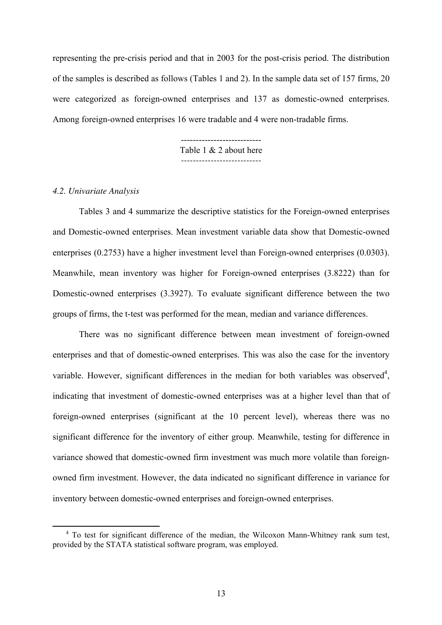representing the pre-crisis period and that in 2003 for the post-crisis period. The distribution of the samples is described as follows (Tables 1 and 2). In the sample data set of 157 firms, 20 were categorized as foreign-owned enterprises and 137 as domestic-owned enterprises. Among foreign-owned enterprises 16 were tradable and 4 were non-tradable firms.

> --------------------------- Table 1 & 2 about here *---------------------------*

#### *4.2. Univariate Analysis*

 $\overline{a}$ 

 Tables 3 and 4 summarize the descriptive statistics for the Foreign-owned enterprises and Domestic-owned enterprises. Mean investment variable data show that Domestic-owned enterprises (0.2753) have a higher investment level than Foreign-owned enterprises (0.0303). Meanwhile, mean inventory was higher for Foreign-owned enterprises (3.8222) than for Domestic-owned enterprises (3.3927). To evaluate significant difference between the two groups of firms, the t-test was performed for the mean, median and variance differences.

There was no significant difference between mean investment of foreign-owned enterprises and that of domestic-owned enterprises. This was also the case for the inventory variable. However, significant differences in the median for both variables was observed<sup>4</sup>, indicating that investment of domestic-owned enterprises was at a higher level than that of foreign-owned enterprises (significant at the 10 percent level), whereas there was no significant difference for the inventory of either group. Meanwhile, testing for difference in variance showed that domestic-owned firm investment was much more volatile than foreignowned firm investment. However, the data indicated no significant difference in variance for inventory between domestic-owned enterprises and foreign-owned enterprises.

<sup>&</sup>lt;sup>4</sup> To test for significant difference of the median, the Wilcoxon Mann-Whitney rank sum test, provided by the STATA statistical software program, was employed.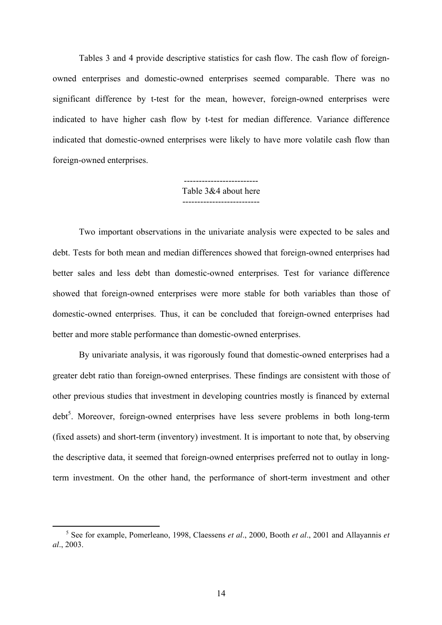Tables 3 and 4 provide descriptive statistics for cash flow. The cash flow of foreignowned enterprises and domestic-owned enterprises seemed comparable. There was no significant difference by t-test for the mean, however, foreign-owned enterprises were indicated to have higher cash flow by t-test for median difference. Variance difference indicated that domestic-owned enterprises were likely to have more volatile cash flow than foreign-owned enterprises.

> ------------------------- Table 3&4 about here --------------------------

Two important observations in the univariate analysis were expected to be sales and debt. Tests for both mean and median differences showed that foreign-owned enterprises had better sales and less debt than domestic-owned enterprises. Test for variance difference showed that foreign-owned enterprises were more stable for both variables than those of domestic-owned enterprises. Thus, it can be concluded that foreign-owned enterprises had better and more stable performance than domestic-owned enterprises.

By univariate analysis, it was rigorously found that domestic-owned enterprises had a greater debt ratio than foreign-owned enterprises. These findings are consistent with those of other previous studies that investment in developing countries mostly is financed by external debt<sup>5</sup>. Moreover, foreign-owned enterprises have less severe problems in both long-term (fixed assets) and short-term (inventory) investment. It is important to note that, by observing the descriptive data, it seemed that foreign-owned enterprises preferred not to outlay in longterm investment. On the other hand, the performance of short-term investment and other

 $\overline{a}$ 

<sup>5</sup> See for example, Pomerleano, 1998, Claessens *et al*., 2000, Booth *et al*., 2001 and Allayannis *et al*., 2003.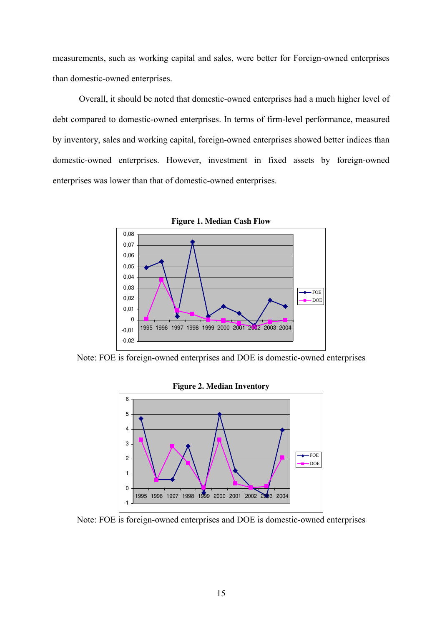measurements, such as working capital and sales, were better for Foreign-owned enterprises than domestic-owned enterprises.

Overall, it should be noted that domestic-owned enterprises had a much higher level of debt compared to domestic-owned enterprises. In terms of firm-level performance, measured by inventory, sales and working capital, foreign-owned enterprises showed better indices than domestic-owned enterprises. However, investment in fixed assets by foreign-owned enterprises was lower than that of domestic-owned enterprises.



Note: FOE is foreign-owned enterprises and DOE is domestic-owned enterprises



Note: FOE is foreign-owned enterprises and DOE is domestic-owned enterprises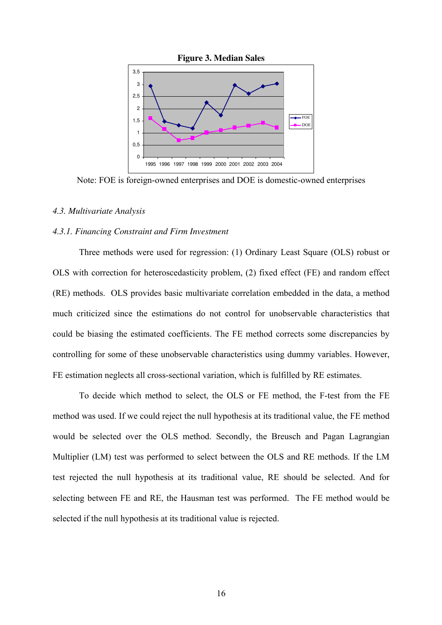

Note: FOE is foreign-owned enterprises and DOE is domestic-owned enterprises

#### *4.3. Multivariate Analysis*

#### *4.3.1. Financing Constraint and Firm Investment*

Three methods were used for regression: (1) Ordinary Least Square (OLS) robust or OLS with correction for heteroscedasticity problem, (2) fixed effect (FE) and random effect (RE) methods. OLS provides basic multivariate correlation embedded in the data, a method much criticized since the estimations do not control for unobservable characteristics that could be biasing the estimated coefficients. The FE method corrects some discrepancies by controlling for some of these unobservable characteristics using dummy variables. However, FE estimation neglects all cross-sectional variation, which is fulfilled by RE estimates.

To decide which method to select, the OLS or FE method, the F-test from the FE method was used. If we could reject the null hypothesis at its traditional value, the FE method would be selected over the OLS method. Secondly, the Breusch and Pagan Lagrangian Multiplier (LM) test was performed to select between the OLS and RE methods. If the LM test rejected the null hypothesis at its traditional value, RE should be selected. And for selecting between FE and RE, the Hausman test was performed. The FE method would be selected if the null hypothesis at its traditional value is rejected.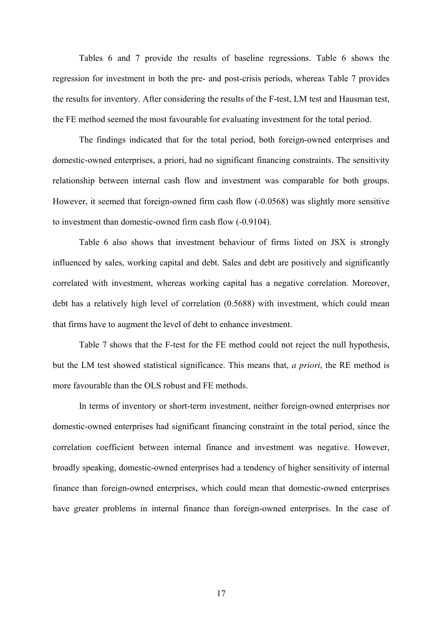Tables 6 and 7 provide the results of baseline regressions. Table 6 shows the regression for investment in both the pre- and post-crisis periods, whereas Table 7 provides the results for inventory. After considering the results of the F-test, LM test and Hausman test, the FE method seemed the most favourable for evaluating investment for the total period.

The findings indicated that for the total period, both foreign-owned enterprises and domestic-owned enterprises, a priori, had no significant financing constraints. The sensitivity relationship between internal cash flow and investment was comparable for both groups. However, it seemed that foreign-owned firm cash flow (-0.0568) was slightly more sensitive to investment than domestic-owned firm cash flow (-0.9104).

Table 6 also shows that investment behaviour of firms listed on JSX is strongly influenced by sales, working capital and debt. Sales and debt are positively and significantly correlated with investment, whereas working capital has a negative correlation. Moreover, debt has a relatively high level of correlation (0.5688) with investment, which could mean that firms have to augment the level of debt to enhance investment.

Table 7 shows that the F-test for the FE method could not reject the null hypothesis, but the LM test showed statistical significance. This means that, *a priori*, the RE method is more favourable than the OLS robust and FE methods.

In terms of inventory or short-term investment, neither foreign-owned enterprises nor domestic-owned enterprises had significant financing constraint in the total period, since the correlation coefficient between internal finance and investment was negative. However, broadly speaking, domestic-owned enterprises had a tendency of higher sensitivity of internal finance than foreign-owned enterprises, which could mean that domestic-owned enterprises have greater problems in internal finance than foreign-owned enterprises. In the case of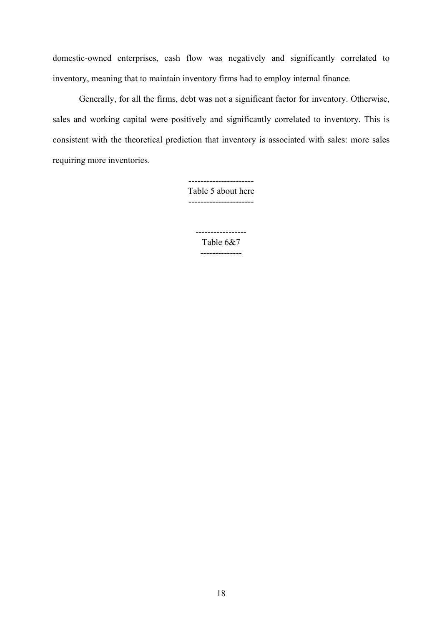domestic-owned enterprises, cash flow was negatively and significantly correlated to inventory, meaning that to maintain inventory firms had to employ internal finance.

Generally, for all the firms, debt was not a significant factor for inventory. Otherwise, sales and working capital were positively and significantly correlated to inventory. This is consistent with the theoretical prediction that inventory is associated with sales: more sales requiring more inventories.

> ---------------------- Table 5 about here ----------------------

> > ----------------- Table 6&7 --------------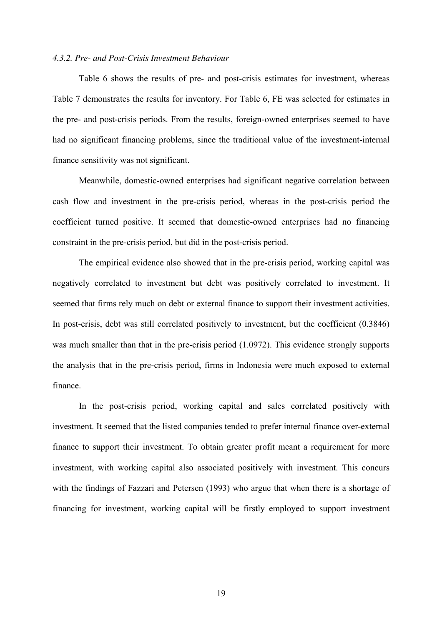#### *4.3.2. Pre- and Post-Crisis Investment Behaviour*

Table 6 shows the results of pre- and post-crisis estimates for investment, whereas Table 7 demonstrates the results for inventory. For Table 6, FE was selected for estimates in the pre- and post-crisis periods. From the results, foreign-owned enterprises seemed to have had no significant financing problems, since the traditional value of the investment-internal finance sensitivity was not significant.

Meanwhile, domestic-owned enterprises had significant negative correlation between cash flow and investment in the pre-crisis period, whereas in the post-crisis period the coefficient turned positive. It seemed that domestic-owned enterprises had no financing constraint in the pre-crisis period, but did in the post-crisis period.

The empirical evidence also showed that in the pre-crisis period, working capital was negatively correlated to investment but debt was positively correlated to investment. It seemed that firms rely much on debt or external finance to support their investment activities. In post-crisis, debt was still correlated positively to investment, but the coefficient (0.3846) was much smaller than that in the pre-crisis period (1.0972). This evidence strongly supports the analysis that in the pre-crisis period, firms in Indonesia were much exposed to external finance.

In the post-crisis period, working capital and sales correlated positively with investment. It seemed that the listed companies tended to prefer internal finance over-external finance to support their investment. To obtain greater profit meant a requirement for more investment, with working capital also associated positively with investment. This concurs with the findings of Fazzari and Petersen (1993) who argue that when there is a shortage of financing for investment, working capital will be firstly employed to support investment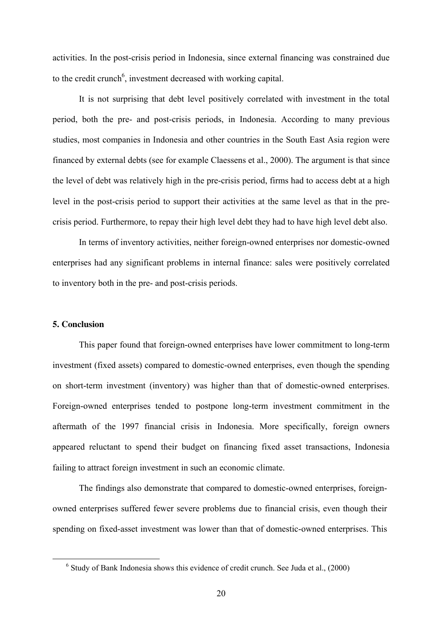activities. In the post-crisis period in Indonesia, since external financing was constrained due to the credit crunch<sup>6</sup>, investment decreased with working capital.

 It is not surprising that debt level positively correlated with investment in the total period, both the pre- and post-crisis periods, in Indonesia. According to many previous studies, most companies in Indonesia and other countries in the South East Asia region were financed by external debts (see for example Claessens et al., 2000). The argument is that since the level of debt was relatively high in the pre-crisis period, firms had to access debt at a high level in the post-crisis period to support their activities at the same level as that in the precrisis period. Furthermore, to repay their high level debt they had to have high level debt also.

 In terms of inventory activities, neither foreign-owned enterprises nor domestic-owned enterprises had any significant problems in internal finance: sales were positively correlated to inventory both in the pre- and post-crisis periods.

#### **5. Conclusion**

-

This paper found that foreign-owned enterprises have lower commitment to long-term investment (fixed assets) compared to domestic-owned enterprises, even though the spending on short-term investment (inventory) was higher than that of domestic-owned enterprises. Foreign-owned enterprises tended to postpone long-term investment commitment in the aftermath of the 1997 financial crisis in Indonesia. More specifically, foreign owners appeared reluctant to spend their budget on financing fixed asset transactions, Indonesia failing to attract foreign investment in such an economic climate.

The findings also demonstrate that compared to domestic-owned enterprises, foreignowned enterprises suffered fewer severe problems due to financial crisis, even though their spending on fixed-asset investment was lower than that of domestic-owned enterprises. This

 $6$  Study of Bank Indonesia shows this evidence of credit crunch. See Juda et al.,  $(2000)$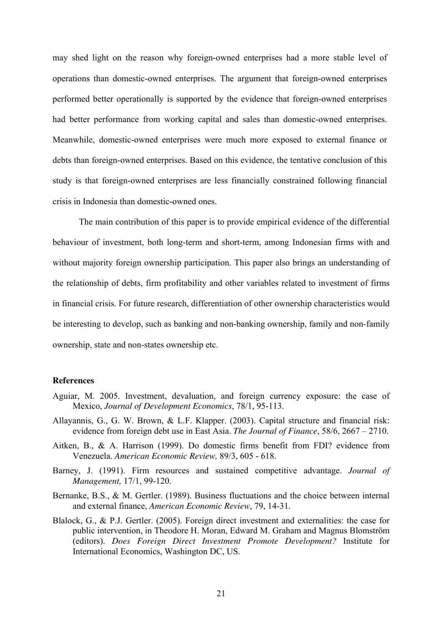may shed light on the reason why foreign-owned enterprises had a more stable level of operations than domestic-owned enterprises. The argument that foreign-owned enterprises performed better operationally is supported by the evidence that foreign-owned enterprises had better performance from working capital and sales than domestic-owned enterprises. Meanwhile, domestic-owned enterprises were much more exposed to external finance or debts than foreign-owned enterprises. Based on this evidence, the tentative conclusion of this study is that foreign-owned enterprises are less financially constrained following financial crisis in Indonesia than domestic-owned ones.

The main contribution of this paper is to provide empirical evidence of the differential behaviour of investment, both long-term and short-term, among Indonesian firms with and without majority foreign ownership participation. This paper also brings an understanding of the relationship of debts, firm profitability and other variables related to investment of firms in financial crisis. For future research, differentiation of other ownership characteristics would be interesting to develop, such as banking and non-banking ownership, family and non-family ownership, state and non-states ownership etc.

#### **References**

- Aguiar, M. 2005. Investment, devaluation, and foreign currency exposure: the case of Mexico, *Journal of Development Economics*, 78/1, 95-113.
- Allayannis, G., G. W. Brown, & L.F. Klapper. (2003). Capital structure and financial risk: evidence from foreign debt use in East Asia. *The Journal of Finance*, 58/6, 2667 – 2710.
- Aitken, B., & A. Harrison (1999). Do domestic firms benefit from FDI? evidence from Venezuela. *American Economic Review,* 89/3, 605 - 618.
- Barney, J. (1991). Firm resources and sustained competitive advantage. *Journal of Management,* 17/1, 99-120.
- Bernanke, B.S., & M. Gertler. (1989). Business fluctuations and the choice between internal and external finance, *American Economic Review*, 79, 14-31.
- Blalock, G., & P.J. Gertler. (2005). Foreign direct investment and externalities: the case for public intervention, in Theodore H. Moran, Edward M. Graham and Magnus Blomström (editors). *Does Foreign Direct Investment Promote Development?* Institute for International Economics, Washington DC, US.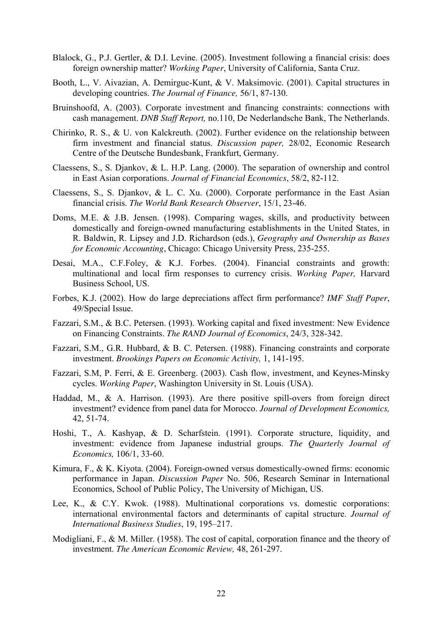- Blalock, G., P.J. Gertler, & D.I. Levine. (2005). Investment following a financial crisis: does foreign ownership matter? *Working Paper*, University of California, Santa Cruz.
- Booth, L., V. Aivazian, A. Demirguc-Kunt, & V. Maksimovic. (2001). Capital structures in developing countries. *The Journal of Finance,* 56/1, 87-130.
- Bruinshoofd, A. (2003). Corporate investment and financing constraints: connections with cash management. *DNB Staff Report,* no.110, De Nederlandsche Bank, The Netherlands.
- Chirinko, R. S., & U. von Kalckreuth. (2002). Further evidence on the relationship between firm investment and financial status. *Discussion paper,* 28/02, Economic Research Centre of the Deutsche Bundesbank, Frankfurt, Germany.
- Claessens, S., S. Djankov, & L. H.P. Lang. (2000). The separation of ownership and control in East Asian corporations. *Journal of Financial Economics*, 58/2, 82-112.
- Claessens, S., S. Djankov, & L. C. Xu. (2000). Corporate performance in the East Asian financial crisis. *The World Bank Research Observer*, 15/1, 23-46.
- Doms, M.E. & J.B. Jensen. (1998). Comparing wages, skills, and productivity between domestically and foreign-owned manufacturing establishments in the United States, in R. Baldwin, R. Lipsey and J.D. Richardson (eds.), *Geography and Ownership as Bases for Economic Accounting*, Chicago: Chicago University Press, 235-255.
- Desai, M.A., C.F.Foley, & K.J. Forbes. (2004). Financial constraints and growth: multinational and local firm responses to currency crisis. *Working Paper,* Harvard Business School, US.
- Forbes, K.J. (2002). How do large depreciations affect firm performance? *IMF Staff Paper*, 49/Special Issue.
- Fazzari, S.M., & B.C. Petersen. (1993). Working capital and fixed investment: New Evidence on Financing Constraints. *The RAND Journal of Economics*, 24/3, 328-342.
- Fazzari, S.M., G.R. Hubbard, & B. C. Petersen. (1988). Financing constraints and corporate investment. *Brookings Papers on Economic Activity,* 1, 141-195.
- Fazzari, S.M, P. Ferri, & E. Greenberg. (2003). Cash flow, investment, and Keynes-Minsky cycles. *Working Paper*, Washington University in St. Louis (USA).
- Haddad, M., & A. Harrison. (1993). Are there positive spill-overs from foreign direct investment? evidence from panel data for Morocco. *Journal of Development Economics,*  42, 51-74.
- Hoshi, T., A. Kashyap, & D. Scharfstein. (1991). Corporate structure, liquidity, and investment: evidence from Japanese industrial groups. *The Quarterly Journal of Economics,* 106/1, 33-60.
- Kimura, F., & K. Kiyota. (2004). Foreign-owned versus domestically-owned firms: economic performance in Japan. *Discussion Paper* No. 506, Research Seminar in International Economics, School of Public Policy, The University of Michigan, US.
- Lee, K., & C.Y. Kwok. (1988). Multinational corporations vs. domestic corporations: international environmental factors and determinants of capital structure. *Journal of International Business Studies*, 19, 195–217.
- Modigliani, F., & M. Miller. (1958). The cost of capital, corporation finance and the theory of investment. *The American Economic Review,* 48, 261-297.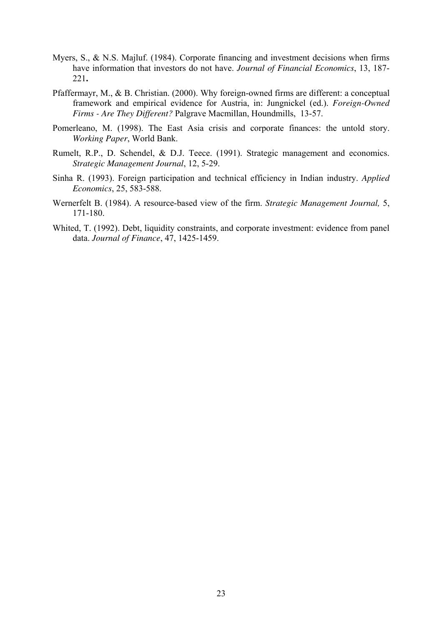- Myers, S., & N.S. Majluf. (1984). Corporate financing and investment decisions when firms have information that investors do not have. *Journal of Financial Economics*, 13, 187- 221**.**
- Pfaffermayr, M., & B. Christian. (2000). Why foreign-owned firms are different: a conceptual framework and empirical evidence for Austria, in: Jungnickel (ed.). *Foreign-Owned Firms - Are They Different?* Palgrave Macmillan, Houndmills, 13-57.
- Pomerleano, M. (1998). The East Asia crisis and corporate finances: the untold story. *Working Paper*, World Bank.
- Rumelt, R.P., D. Schendel, & D.J. Teece. (1991). Strategic management and economics. *Strategic Management Journal*, 12, 5-29.
- Sinha R. (1993). Foreign participation and technical efficiency in Indian industry. *Applied Economics*, 25, 583-588.
- Wernerfelt B. (1984). A resource-based view of the firm. *Strategic Management Journal,* 5, 171-180.
- Whited, T. (1992). Debt, liquidity constraints, and corporate investment: evidence from panel data. *Journal of Finance*, 47, 1425-1459.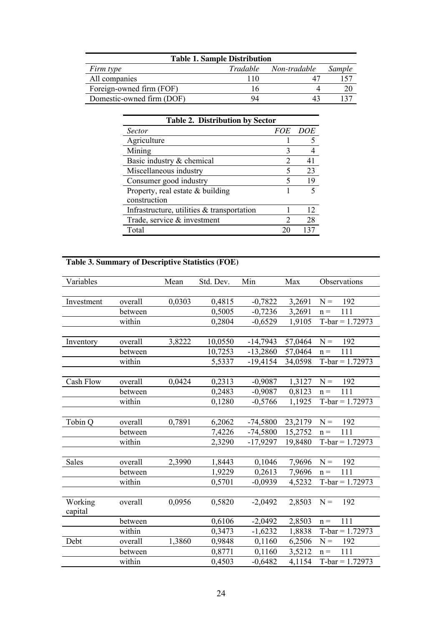| <b>Table 1. Sample Distribution</b> |              |                       |               |  |  |  |  |  |  |  |  |  |  |
|-------------------------------------|--------------|-----------------------|---------------|--|--|--|--|--|--|--|--|--|--|
| Firm type                           |              | Tradable Non-tradable | <i>Sample</i> |  |  |  |  |  |  |  |  |  |  |
| All companies                       | 110          |                       |               |  |  |  |  |  |  |  |  |  |  |
| Foreign-owned firm (FOF)            | $\mathsf{h}$ |                       |               |  |  |  |  |  |  |  |  |  |  |
| Domestic-owned firm (DOF)           | 94           |                       |               |  |  |  |  |  |  |  |  |  |  |

| <b>Table 2. Distribution by Sector</b>     |    |                |  |  |  |  |  |  |  |  |
|--------------------------------------------|----|----------------|--|--|--|--|--|--|--|--|
| <b>Sector</b>                              |    | <i>FOE DOE</i> |  |  |  |  |  |  |  |  |
| Agriculture                                |    |                |  |  |  |  |  |  |  |  |
| Mining                                     | 3  |                |  |  |  |  |  |  |  |  |
| Basic industry & chemical                  |    | 41             |  |  |  |  |  |  |  |  |
| Miscellaneous industry                     |    | 23             |  |  |  |  |  |  |  |  |
| Consumer good industry                     | 5  | 19             |  |  |  |  |  |  |  |  |
| Property, real estate $&$ building         |    |                |  |  |  |  |  |  |  |  |
| construction                               |    |                |  |  |  |  |  |  |  |  |
| Infrastructure, utilities & transportation |    | 12             |  |  |  |  |  |  |  |  |
| Trade, service & investment                | 2  | 28             |  |  |  |  |  |  |  |  |
| Total                                      | 20 | 137            |  |  |  |  |  |  |  |  |

## **Table 3. Summary of Descriptive Statistics (FOE)**

| Variables  |         | Mean   | Std. Dev. | Min        | Max           | Observations      |
|------------|---------|--------|-----------|------------|---------------|-------------------|
|            |         |        |           |            |               |                   |
| Investment | overall | 0,0303 | 0,4815    | $-0,7822$  | 3,2691        | $N =$<br>192      |
|            | between |        | 0,5005    | $-0,7236$  | 3,2691        | 111<br>$n =$      |
|            | within  |        | 0,2804    | $-0,6529$  | 1,9105        | $T-bar = 1.72973$ |
|            |         |        |           |            |               |                   |
| Inventory  | overall | 3,8222 | 10,0550   | $-14,7943$ | 57,0464       | $N =$<br>192      |
|            | between |        | 10,7253   | $-13,2860$ | 57,0464       | $n =$<br>111      |
|            | within  |        | 5,5337    | $-19,4154$ | 34,0598       | $T-bar = 1.72973$ |
|            |         |        |           |            |               |                   |
| Cash Flow  | overall | 0,0424 | 0,2313    | $-0,9087$  | 1,3127        | $N =$<br>192      |
|            | between |        | 0,2483    | $-0,9087$  | 0,8123        | 111<br>$n =$      |
|            | within  |        | 0,1280    | $-0,5766$  | 1,1925        | $T-bar = 1.72973$ |
|            |         |        |           |            |               |                   |
| Tobin Q    | overall | 0,7891 | 6,2062    | $-74,5800$ | $23,2179$ N = | 192               |
|            | between |        | 7,4226    | $-74,5800$ | 15,2752       | $n =$<br>111      |
|            | within  |        | 2,3290    | $-17,9297$ | 19,8480       | $T-bar = 1.72973$ |
|            |         |        |           |            |               |                   |
| Sales      | overall | 2,3990 | 1,8443    | 0,1046     | 7,9696        | $N =$<br>192      |
|            | between |        | 1,9229    | 0,2613     | 7,9696        | 111<br>$n =$      |
|            | within  |        | 0,5701    | $-0,0939$  | 4,5232        | $T-bar = 1.72973$ |
|            |         |        |           |            |               |                   |
| Working    | overall | 0,0956 | 0,5820    | $-2,0492$  | 2,8503        | $N =$<br>192      |
| capital    |         |        |           |            |               |                   |
|            | between |        | 0,6106    | $-2,0492$  | 2,8503        | 111<br>$n =$      |
|            | within  |        | 0,3473    | $-1,6232$  | 1,8838        | $T-bar = 1.72973$ |
| Debt       | overall | 1,3860 | 0,9848    | 0,1160     | 6,2506        | $N =$<br>192      |
|            | between |        | 0,8771    | 0,1160     | 3,5212        | 111<br>$n =$      |
|            | within  |        | 0,4503    | $-0,6482$  | 4,1154        | $T-bar = 1.72973$ |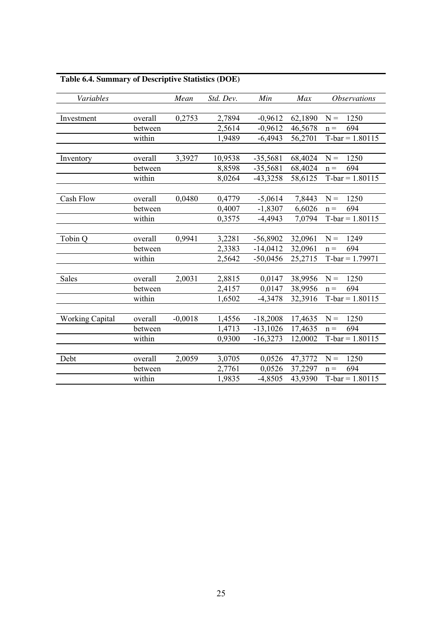| Variables              | Mean    | Std. Dev. | Min     | Max        | <b>Observations</b> |                   |
|------------------------|---------|-----------|---------|------------|---------------------|-------------------|
|                        |         |           |         |            |                     |                   |
| Investment             | overall | 0,2753    | 2,7894  | $-0,9612$  | 62,1890             | $N =$<br>1250     |
|                        | between |           | 2,5614  | $-0,9612$  | 46,5678             | 694<br>$n =$      |
|                        | within  |           | 1,9489  | $-6,4943$  | 56,2701             | $T-bar = 1.80115$ |
|                        |         |           |         |            |                     |                   |
| Inventory              | overall | 3,3927    | 10,9538 | $-35,5681$ | 68,4024             | 1250<br>$N =$     |
|                        | between |           | 8,8598  | $-35,5681$ | 68,4024             | 694<br>$n =$      |
|                        | within  |           | 8,0264  | $-43,3258$ | 58,6125             | $T-bar = 1.80115$ |
|                        |         |           |         |            |                     |                   |
| Cash Flow              | overall | 0,0480    | 0,4779  | $-5,0614$  | 7,8443              | 1250<br>$N =$     |
|                        | between |           | 0,4007  | $-1,8307$  | 6,6026              | 694<br>$n =$      |
|                        | within  |           | 0,3575  | $-4,4943$  | 7,0794              | $T-bar = 1.80115$ |
|                        |         |           |         |            |                     |                   |
| Tobin Q                | overall | 0,9941    | 3,2281  | $-56,8902$ | 32,0961             | $N =$<br>1249     |
|                        | between |           | 2,3383  | $-14,0412$ | 32,0961             | $n =$<br>694      |
|                        | within  |           | 2,5642  | $-50,0456$ | 25,2715             | $T-bar = 1.79971$ |
|                        |         |           |         |            |                     |                   |
| <b>Sales</b>           | overall | 2,0031    | 2,8815  | 0,0147     | 38,9956             | $N =$<br>1250     |
|                        | between |           | 2,4157  | 0,0147     | 38,9956             | 694<br>$n =$      |
|                        | within  |           | 1,6502  | $-4,3478$  | 32,3916             | $T-bar = 1.80115$ |
|                        |         |           |         |            |                     |                   |
| <b>Working Capital</b> | overall | $-0,0018$ | 1,4556  | $-18,2008$ | 17,4635             | $N =$<br>1250     |
|                        | between |           | 1,4713  | $-13,1026$ | 17,4635             | $n =$<br>694      |
|                        | within  |           | 0,9300  | $-16,3273$ | 12,0002             | $T-bar = 1.80115$ |
|                        |         |           |         |            |                     |                   |
| Debt                   | overall | 2,0059    | 3,0705  | 0,0526     | 47,3772             | $N =$<br>1250     |
|                        | between |           | 2,7761  | 0,0526     | 37,2297             | $n =$<br>694      |
|                        | within  |           | 1,9835  | $-4,8505$  | 43,9390             | $T-bar = 1.80115$ |

### **Table 6.4. Summary of Descriptive Statistics (DOE)**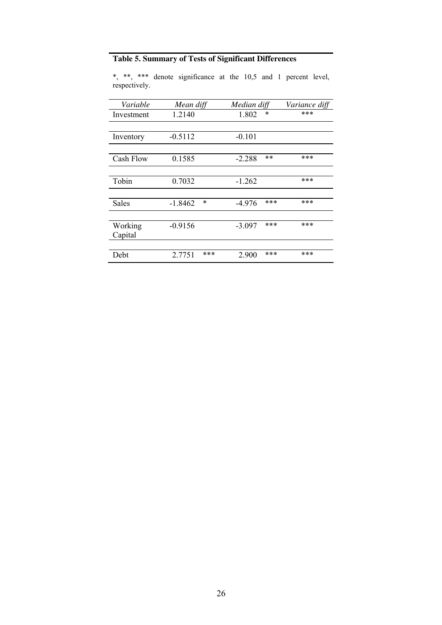### **Table 5. Summary of Tests of Significant Differences**

| Variable           | Mean diff |        | Median diff |       | Variance diff |
|--------------------|-----------|--------|-------------|-------|---------------|
| Investment         | 1.2140    |        | 1.802       | *     | ***           |
|                    |           |        |             |       |               |
| Inventory          | $-0.5112$ |        | $-0.101$    |       |               |
|                    |           |        |             |       |               |
| Cash Flow          | 0.1585    |        | $-2.288$    | $***$ | ***           |
|                    |           |        |             |       |               |
| Tobin              | 0.7032    |        | $-1.262$    |       | ***           |
|                    |           |        |             |       |               |
| <b>Sales</b>       | $-1.8462$ | $\ast$ | $-4.976$    | ***   | ***           |
|                    |           |        |             |       |               |
| Working<br>Capital | $-0.9156$ |        | $-3.097$    | ***   | ***           |
|                    |           |        |             |       |               |
| Debt               | 2.7751    | ***    | 2.900       | ***   | ***           |

\*, \*\*, \*\*\* denote significance at the 10,5 and 1 percent level, respectively.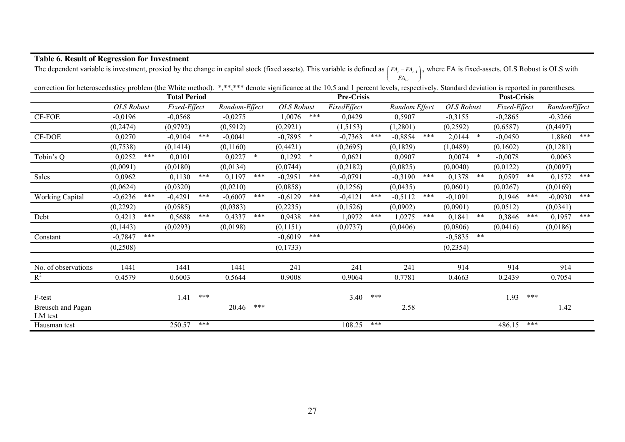| The dependent variable is investment, proxied by the change in capital stock (fixed assets). This variable is defined as $\lfloor A_1 - A_1 \rfloor$ , where FA is fixed-assets. OLS KODUSt is OLS With |                   |       |              |                   |               |       |                   |        |             |                    | $FA_{t-1}$    |     |                   |        |              |       |              |     |
|---------------------------------------------------------------------------------------------------------------------------------------------------------------------------------------------------------|-------------------|-------|--------------|-------------------|---------------|-------|-------------------|--------|-------------|--------------------|---------------|-----|-------------------|--------|--------------|-------|--------------|-----|
| correction for heteroscedasticy problem (the White method). *,**,*** denote significance at the 10,5 and 1 percent levels, respectively. Standard deviation is reported in parentheses.                 |                   |       |              |                   |               |       |                   |        |             |                    |               |     |                   |        |              |       |              |     |
|                                                                                                                                                                                                         |                   |       |              | <b>Pre-Crisis</b> |               |       |                   |        |             | <b>Post-Crisis</b> |               |     |                   |        |              |       |              |     |
|                                                                                                                                                                                                         | <b>OLS</b> Robust |       | Fixed-Effect |                   | Random-Effect |       | <b>OLS</b> Robust |        | FixedEffect |                    | Random Effect |     | <b>OLS</b> Robust |        | Fixed-Effect |       | RandomEffect |     |
| CF-FOE                                                                                                                                                                                                  | $-0.0196$         |       | $-0,0568$    |                   | $-0,0275$     |       | 1,0076            | ***    | 0,0429      |                    | 0,5907        |     | $-0,3155$         |        | $-0,2865$    |       | $-0,3266$    |     |
|                                                                                                                                                                                                         | (0, 2474)         |       | (0,9792)     |                   | (0, 5912)     |       | (0, 2921)         |        | (1,5153)    |                    | (1,2801)      |     | (0,2592)          |        | (0,6587)     |       | (0,4497)     |     |
| CF-DOE                                                                                                                                                                                                  | 0,0270            |       | $-0.9104$    | ***               | $-0,0041$     |       | $-0,7895$         | $\ast$ | $-0,7363$   | ***                | $-0,8854$     | *** | 2,0144            | $\ast$ | $-0,0450$    |       | 1,8860       | *** |
|                                                                                                                                                                                                         | (0,7538)          |       | (0,1414)     |                   | (0,1160)      |       | (0,4421)          |        | (0,2695)    |                    | (0,1829)      |     | (1,0489)          |        | (0,1602)     |       | (0,1281)     |     |
| Tobin's Q                                                                                                                                                                                               | 0,0252            | ***   | 0,0101       |                   | $0,0227$ *    |       | 0,1292            | $\ast$ | 0,0621      |                    | 0,0907        |     | 0,0074            | $\ast$ | $-0,0078$    |       | 0,0063       |     |
|                                                                                                                                                                                                         | (0,0091)          |       | (0,0180)     |                   | (0,0134)      |       | (0,0744)          |        | (0,2182)    |                    | (0,0825)      |     | (0,0040)          |        | (0,0122)     |       | (0,0097)     |     |
| Sales                                                                                                                                                                                                   | 0,0962            |       | 0,1130       | ***               | 0,1197        | ***   | $-0,2951$         | ***    | $-0,0791$   |                    | $-0,3190$     | *** | 0,1378            | $***$  | 0,0597       | $***$ | 0,1572       | *** |
|                                                                                                                                                                                                         | (0,0624)          |       | (0,0320)     |                   | (0,0210)      |       | (0,0858)          |        | (0, 1256)   |                    | (0,0435)      |     | (0,0601)          |        | (0,0267)     |       | (0,0169)     |     |
| Working Capital                                                                                                                                                                                         | $-0,6236$         | ***   | $-0,4291$    | ***               | $-0,6007$     | $***$ | $-0,6129$         | ***    | $-0,4121$   | ***                | $-0,5112$     | *** | $-0,1091$         |        | 0,1946       | ***   | $-0,0930$    | *** |
|                                                                                                                                                                                                         | (0, 2292)         |       | (0,0585)     |                   | (0,0383)      |       | (0,2235)          |        | (0,1526)    |                    | (0,0902)      |     | (0,0901)          |        | (0,0512)     |       | (0,0341)     |     |
| Debt                                                                                                                                                                                                    | 0,4213            | $***$ | 0,5688       | ***               | 0,4337        | ***   | 0,9438            | $***$  | 1,0972      | ***                | 1,0275        | *** | 0,1841            | $***$  | 0,3846       | ***   | 0,1957       | *** |
|                                                                                                                                                                                                         | (0,1443)          |       | (0,0293)     |                   | (0,0198)      |       | (0,1151)          |        | (0,0737)    |                    | (0,0406)      |     | (0,0806)          |        | (0,0416)     |       | (0,0186)     |     |
| Constant                                                                                                                                                                                                | $-0,7847$         | ***   |              |                   |               |       | $-0,6019$         | ***    |             |                    |               |     | $-0,5835$         | $***$  |              |       |              |     |
|                                                                                                                                                                                                         | (0,2508)          |       |              |                   |               |       | (0,1733)          |        |             |                    |               |     | (0, 2354)         |        |              |       |              |     |
| No. of observations                                                                                                                                                                                     | 1441              |       | 1441         |                   | 1441          |       | 241               |        | 241         |                    | 241           |     | 914               |        | 914          |       | 914          |     |
| $R^2$                                                                                                                                                                                                   | 0.4579            |       | 0.6003       |                   | 0.5644        |       | 0.9008            |        | 0.9064      |                    | 0.7781        |     | 0.4663            |        | 0.2439       |       | 0.7054       |     |
| F-test                                                                                                                                                                                                  |                   |       | 1.41         | ***               |               |       |                   |        | 3.40        | ***                |               |     |                   |        | 1.93         | ***   |              |     |
|                                                                                                                                                                                                         |                   |       |              |                   |               | ***   |                   |        |             |                    |               |     |                   |        |              |       |              |     |
| Breusch and Pagan<br>LM test                                                                                                                                                                            |                   |       |              |                   | 20.46         |       |                   |        |             |                    | 2.58          |     |                   |        |              |       | 1.42         |     |
| Hausman test                                                                                                                                                                                            |                   |       | 250.57       | ***               |               |       |                   |        | 108.25      | ***                |               |     |                   |        | 486.15       | ***   |              |     |

The dependent variable is investment, proxied by the change in capital stock (fixed assets). This variable is defined as  $(FA<sub>i</sub> − FA<sub>i-1</sub>)$ , where FA is fixed-assets. OLS Robust is OLS with

#### **Table 6. Result of Regression for Investment**